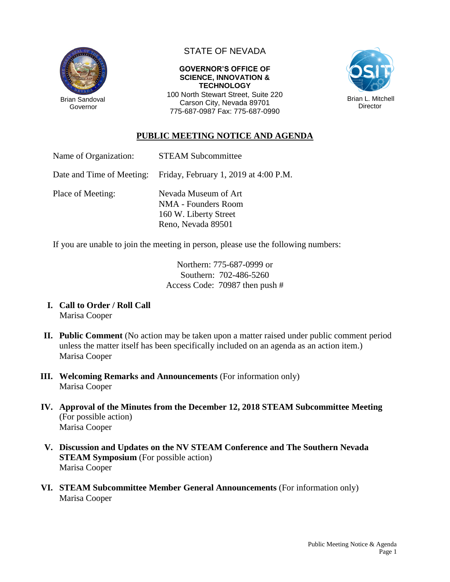

STATE OF NEVADA

#### **GOVERNOR'S OFFICE OF SCIENCE, INNOVATION & TECHNOLOGY**

100 North Stewart Street, Suite 220 Carson City, Nevada 89701 775-687-0987 Fax: 775-687-0990



# **PUBLIC MEETING NOTICE AND AGENDA**

Name of Organization: STEAM Subcommittee

Date and Time of Meeting: Friday, February 1, 2019 at 4:00 P.M.

Place of Meeting: Nevada Museum of Art NMA - Founders Room 160 W. Liberty Street Reno, Nevada 89501

If you are unable to join the meeting in person, please use the following numbers:

Northern: 775-687-0999 or Southern: 702-486-5260 Access Code: 70987 then push #

- **I. Call to Order / Roll Call** Marisa Cooper
- **II. Public Comment** (No action may be taken upon a matter raised under public comment period unless the matter itself has been specifically included on an agenda as an action item.) Marisa Cooper
- **III. Welcoming Remarks and Announcements** (For information only) Marisa Cooper
- **IV. Approval of the Minutes from the December 12, 2018 STEAM Subcommittee Meeting** (For possible action) Marisa Cooper
- **V. Discussion and Updates on the NV STEAM Conference and The Southern Nevada STEAM Symposium** (For possible action) Marisa Cooper
- **VI. STEAM Subcommittee Member General Announcements** (For information only) Marisa Cooper